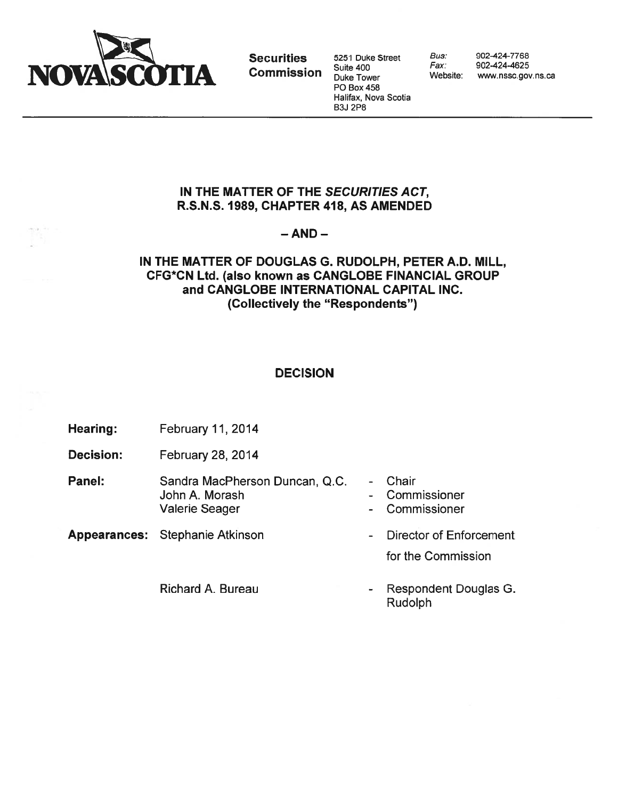

Securities 5251 Duke Street Bus: 902-424-7768<br>Computed buite 400 Fax: 902-424-4625 Halifax, Nova Scotia B3J 2P8

## IN THE MATTER OF THE SECURITIES ACT, R.S.N.S. 1989, CHAPTER 418, AS AMENDED

### $-$  AND  $-$

## IN THE MATTER OF DOUGLAS G. RUDOLPH, PETER A.D. MILL, CFG\*CN Ltd. (also known as CANGLOBE FINANCIAL GROUP and CANGLOBE INTERNATIONAL CAPITAL INC. (Collectively the "Respondents")

# **DECISION**

- Hearing: February 11, 2014
- Decision: February 28, 2014
- Panel: Sandra MacPherson Duncan, Q.C. Chair John A. Morash **Commissioner** - Commissioner Valerie Seager - Commissioner
- Appearances: Stephanie Atkinson  **Director of Enforcement**

Richard A. Bureau **Richard A. Bureau** - Respondent Douglas G. Rudolph

for the Commission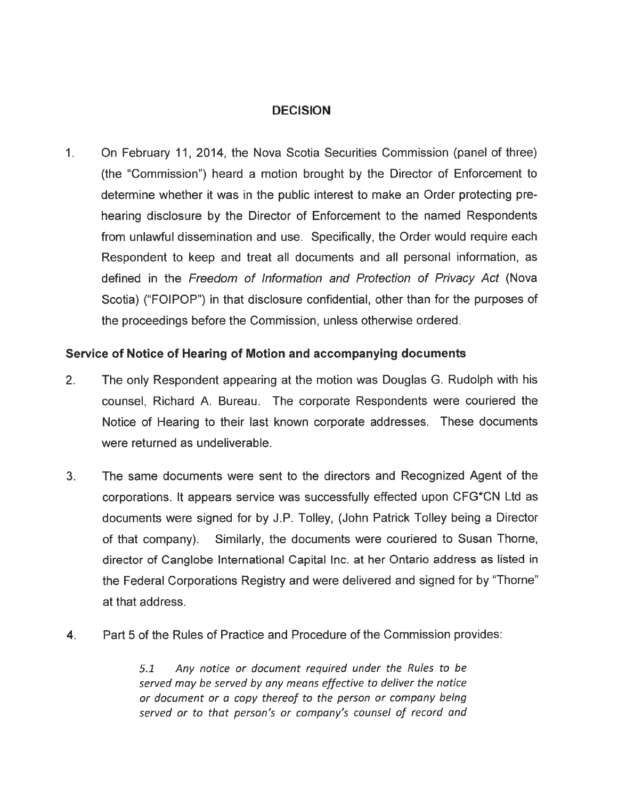## DECISION

 $1<sup>1</sup>$ On February 11, 2014, the Nova Scotia Securities Commission (panel of three) (the "Commission") heard <sup>a</sup> motion brought by the Director of Enforcement to determine whether it was in the public interest to make an Order protecting pre hearing disclosure by the Director of Enforcement to the named Respondents from unlawful dissemination and use. Specifically, the Order would require each Respondent to keep and treat all documents and all personal information, as defined in the Freedom of Information and Protection of Privacy Act (Nova Scotia) ("FOIPOP") in that disclosure confidential, other than for the purposes of the proceedings before the Commission, unless otherwise ordered.

#### Service of Notice of Hearing of Motion and accompanying documents

- 2. The only Respondent appearing at the motion was Douglas G. Rudolph with his counsel, Richard A. Bureau. The corporate Respondents were couriered the Notice of Hearing to their last known corporate addresses. These documents were returned as undeliverable.
- 3. The same documents were sent to the directors and Recognized Agent of the corporations. It appears service was successfully effected upon CFG\*CN Ltd as documents were signed for by J.P. Tolley, (John Patrick Tolley being <sup>a</sup> Director of that company). Similarly, the documents were couriered to Susan Thorne, director of Canglobe International Capital Inc. at her Ontario address as listed in the Federal Corporations Registry and were delivered and signed for by "Thorne" at that address.
- 4. Part 5 of the Rules of Practice and Procedure of the Commission provides:

5.1 Any notice or document required under the Rules to be served may be served by any means effective to deliver the notice or document or <sup>a</sup> copy thereof to the person or company being served or to that person's or company's counsel of record and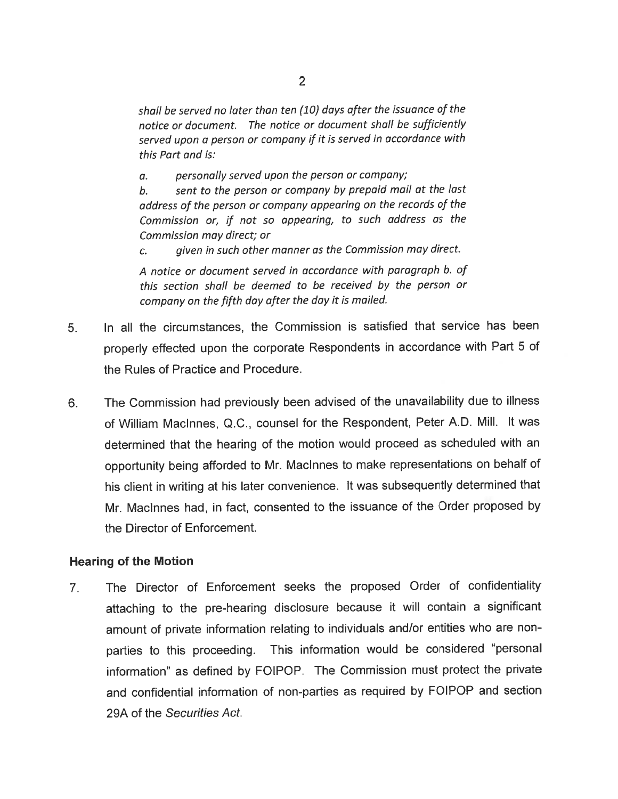shall be served no later than ten (10) days after the issuance of the notice or document. The notice or document shall be sufficiently served upon <sup>a</sup> person or company if it is served in accordance with this Part and is:

a. personally served upon the person or company;

b. sent to the person or company by prepaid mail at the last address of the person or company appearing on the records of the Commission or, if not so appearing, to such address as the Commission may direct; or

c. <sup>g</sup>iven in such other manner as the Commission may direct.

A notice or document served in accordance with paragraph b. of this section shall be deemed to be received by the person or company on the fifth day after the day it is mailed.

- 5. In all the circumstances, the Commission is satisfied that service has been properly effected upon the corporate Respondents in accordance with Part <sup>5</sup> of the Rules of Practice and Procedure.
- 6. The Commission had previously been advised of the unavailability due to illness of William Macinnes, Q.C., counsel for the Respondent, Peter A.D. Mill. It was determined that the hearing of the motion would procee<sup>d</sup> as scheduled with an opportunity being afforded to Mr. Maclnnes to make representations on behalf of his client in writing at his later convenience. It was subsequently determined that Mr. Macinnes had, in fact, consented to the issuance of the Order proposed by the Director of Enforcement.

#### Hearing of the Motion

7. The Director of Enforcement seeks the proposed Order of confidentiality attaching to the pre-hearing disclosure because it will contain <sup>a</sup> significant amount of private information relating to individuals and/or entities who are non parties to this proceeding. This information would be considered "personal information" as defined by FOIPOP. The Commission must protect the private and confidential information of non-parties as required by FOIPOP and section 29A of the Securities Act.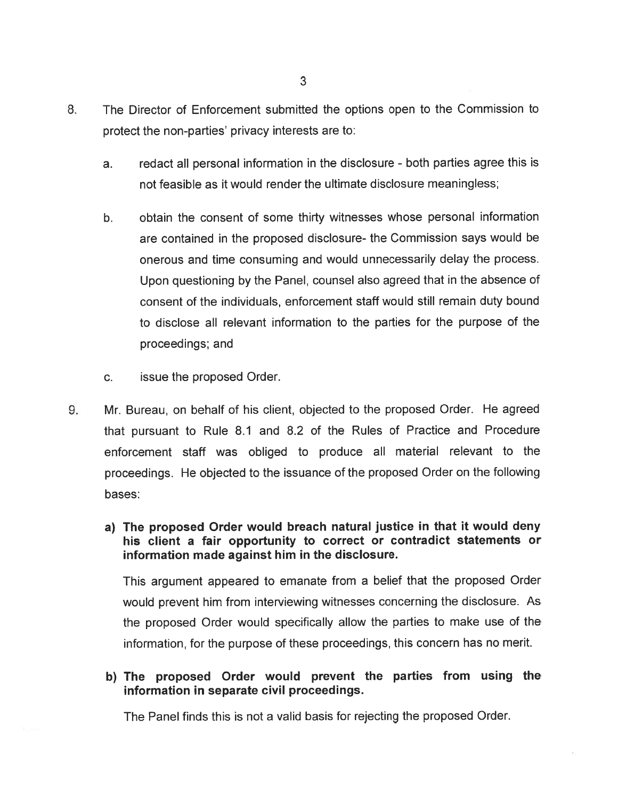- 8. The Director of Enforcement submitted the options open to the Commission to protect the non-parties' privacy interests are to:
	- a. redact all persona<sup>l</sup> information in the disclosure both parties agree this is not feasible as it would render the ultimate disclosure meaningless;
	- b. obtain the consent of some thirty witnesses whose personal information are contained in the proposed disclosure- the Commission says would be onerous and time consuming and would unnecessarily delay the process. Upon questioning by the Panel, counsel also agree<sup>d</sup> that in the absence of consent of the individuals, enforcement staff would still remain duty bound to disclose all relevant information to the parties for the purpose of the proceedings; and
	- c. issue the proposed Order.
- 9. Mr. Bureau, on behalf of his client, objected to the proposed Order. He agreed that pursuan<sup>t</sup> to Rule 8.1 and 8.2 of the Rules of Practice and Procedure enforcement staff was obliged to produce all material relevant to the proceedings. He objected to the issuance of the propose<sup>d</sup> Order on the following bases:
	- a) The propose<sup>d</sup> Order would breach natural justice in that it would deny his client <sup>a</sup> fair opportunity to correct or contradict statements or information made against him in the disclosure.

This argumen<sup>t</sup> appeare<sup>d</sup> to emanate from <sup>a</sup> belief that the propose<sup>d</sup> Order would preven<sup>t</sup> him from interviewing witnesses concerning the disclosure. As the proposed Order would specifically allow the parties to make use of the information, for the purpose of these proceedings, this concern has no merit.

b) The proposed Order would preven<sup>t</sup> the parties from using the information in separate civil proceedings.

The Panel finds this is not <sup>a</sup> valid basis for rejecting the proposed Order.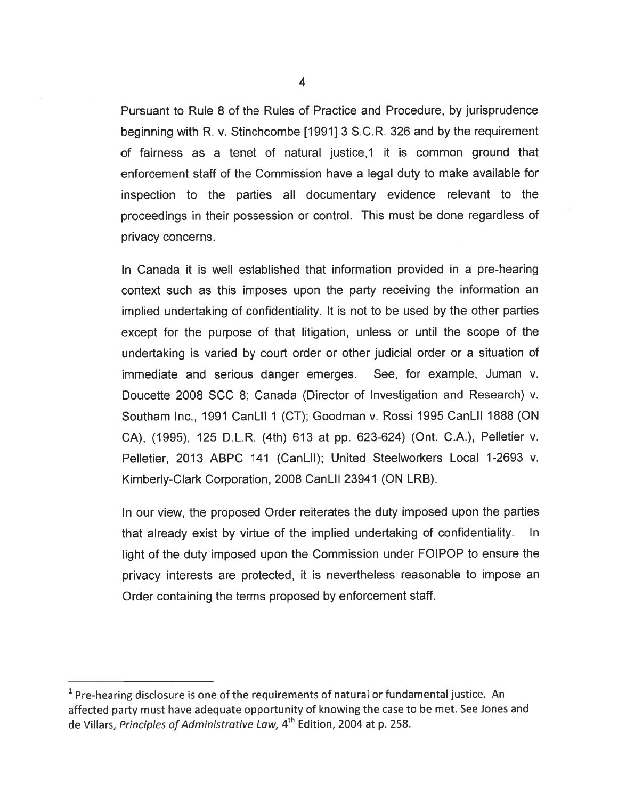Pursuant to Rule 8 of the Rules of Practice and Procedure, by jurisprudence beginning with R. v. Stinchcombe [1991] 3 S.C.R. 326 and by the requirement of fairness as <sup>a</sup> tenet of natural justice,1 it is common ground that enforcement staff of the Commission have <sup>a</sup> legal duty to make available for inspection to the parties all documentary evidence relevant to the proceedings in their possession or control. This must be done regardless of privacy concerns.

In Canada it is well established that information provided in <sup>a</sup> pre-hearing context such as this imposes upon the party receiving the information an implied undertaking of confidentiality. It is not to be used by the other parties excep<sup>t</sup> for the purpose of that litigation, unless or until the scope of the undertaking is varied by court order or other judicial order or <sup>a</sup> situation of immediate and serious danger emerges. See, for example, Juman v. Doucette 2008 SCC 8; Canada (Director of Investigation and Research) v. Southam Inc., 1991 CanLil 1 (CT); Goodman v. Rossi 1995 CanLil 1888 (ON CA), (1995), <sup>125</sup> D.L.R. (4th) <sup>613</sup> at pp. 623-624) (Ont. CA.), Pelletier v. Pelletier, 2013 ABPC 141 (CanLil); United Steelworkers Local 1-2693 v. Kimberly-Clark Corporation, 2008 CanLil 23941 (ON LRB).

In our view, the proposed Order reiterates the duty imposed upon the parties that already exist by virtue of the implied undertaking of confidentiality. In light of the duty imposed upon the Commission under FOIPOP to ensure the privacy interests are protected, it is nevertheless reasonable to impose an Order containing the terms proposed by enforcement staff.

 $<sup>1</sup>$  Pre-hearing disclosure is one of the requirements of natural or fundamental justice. An</sup> affected party must have adequate opportunity of knowing the case to be met. See Jones and de Villars, Principles of Administrative Law, 4<sup>th</sup> Edition, 2004 at p. 258.